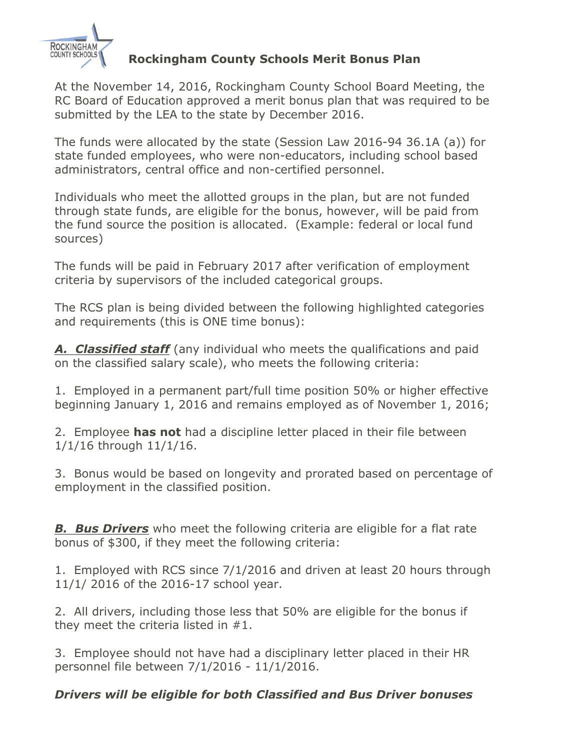

## **Rockingham County Schools Merit Bonus Plan**

At the November 14, 2016, Rockingham County School Board Meeting, the RC Board of Education approved a merit bonus plan that was required to be submitted by the LEA to the state by December 2016.

The funds were allocated by the state (Session Law 2016-94 36.1A (a)) for state funded employees, who were non-educators, including school based administrators, central office and non-certified personnel.

Individuals who meet the allotted groups in the plan, but are not funded through state funds, are eligible for the bonus, however, will be paid from the fund source the position is allocated. (Example: federal or local fund sources)

The funds will be paid in February 2017 after verification of employment criteria by supervisors of the included categorical groups.

The RCS plan is being divided between the following highlighted categories and requirements (this is ONE time bonus):

*A. Classified staff* (any individual who meets the qualifications and paid on the classified salary scale), who meets the following criteria:

1. Employed in a permanent part/full time position 50% or higher effective beginning January 1, 2016 and remains employed as of November 1, 2016;

2. Employee **has not** had a discipline letter placed in their file between 1/1/16 through 11/1/16.

3. Bonus would be based on longevity and prorated based on percentage of employment in the classified position.

*B. Bus Drivers* who meet the following criteria are eligible for a flat rate bonus of \$300, if they meet the following criteria:

1. Employed with RCS since 7/1/2016 and driven at least 20 hours through 11/1/ 2016 of the 2016-17 school year.

2. All drivers, including those less that 50% are eligible for the bonus if they meet the criteria listed in #1.

3. Employee should not have had a disciplinary letter placed in their HR personnel file between 7/1/2016 - 11/1/2016.

## *Drivers will be eligible for both Classified and Bus Driver bonuses*